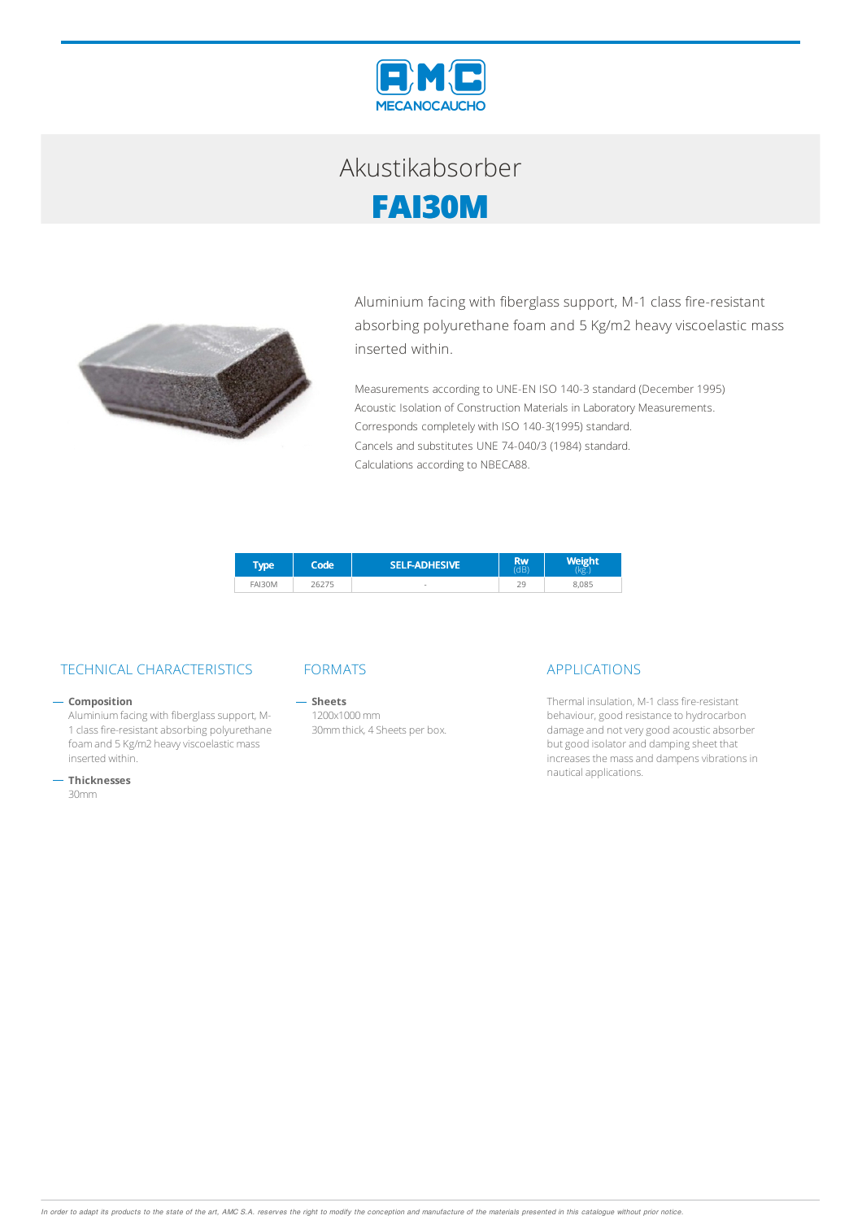

## Akustikabsorber **FAI30M**



Aluminium facing with fiberglass support, M-1 class fire-resistant absorbing polyurethane foam and 5 Kg/m2 heavy viscoelastic mass inserted within.

Measurements according to UNE-EN ISO 140-3 standard (December 1995) Acoustic Isolation of Construction Materials in Laboratory Measurements. Corresponds completely with ISO 140-3(1995) standard. Cancels and substitutes UNE 74-040/3 (1984) standard. Calculations according to NBECA88.

| <b>VDE</b>    | Code | <b>SELF-ADHESIVE</b> | <b>Rw</b><br>dB |       |
|---------------|------|----------------------|-----------------|-------|
| <b>FAI30M</b> |      | $\sim$               | 20<br><u>_</u>  | 8.085 |

### TECHNICAL CHARACTERISTICS FORMATS APPLICATIONS

### $-$  Composition

Aluminium facing with fiberglass support, M-1 class fire-resistant absorbing polyurethane foam and 5 Kg/m2 heavy viscoelastic mass inserted within.

**Thicknesses**

30mm

 $-$  Sheets 1200x1000mm 30mmthick, 4 Sheets per box.

Thermal insulation, M-1 class fire-resistant behaviour, good resistance to hydrocarbon damage and not very good acoustic absorber but good isolator and damping sheet that increases the mass and dampens vibrations in nauticalapplications.